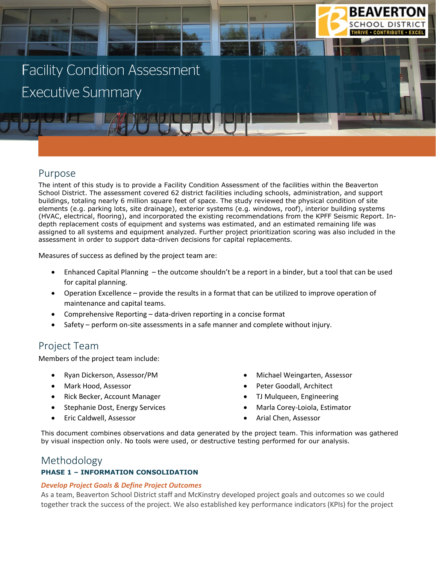# **Facility Condition Assessment Executive Summary**

## Purpose

The intent of this study is to provide a Facility Condition Assessment of the facilities within the Beaverton School District. The assessment covered 62 district facilities including schools, administration, and support buildings, totaling nearly 6 million square feet of space. The study reviewed the physical condition of site elements (e.g. parking lots, site drainage), exterior systems (e.g. windows, roof), interior building systems (HVAC, electrical, flooring), and incorporated the existing recommendations from the KPFF Seismic Report. Indepth replacement costs of equipment and systems was estimated, and an estimated remaining life was assigned to all systems and equipment analyzed. Further project prioritization scoring was also included in the assessment in order to support data-driven decisions for capital replacements.

Measures of success as defined by the project team are:

- Enhanced Capital Planning the outcome shouldn't be a report in a binder, but a tool that can be used for capital planning.
- Operation Excellence provide the results in a format that can be utilized to improve operation of maintenance and capital teams.
- Comprehensive Reporting data-driven reporting in a concise format
- Safety perform on-site assessments in a safe manner and complete without injury.

## Project Team

Members of the project team include:

- Ryan Dickerson, Assessor/PM
- Mark Hood, Assessor
- Rick Becker, Account Manager
- Stephanie Dost, Energy Services
- Eric Caldwell, Assessor

• Michael Weingarten, Assessor

**BEAVERTO** 

- Peter Goodall, Architect
- TJ Mulqueen, Engineering
- Marla Corey-Loiola, Estimator
- Arial Chen, Assessor

This document combines observations and data generated by the project team. This information was gathered by visual inspection only. No tools were used, or destructive testing performed for our analysis.

#### Methodology

#### **PHASE 1 – INFORMATION CONSOLIDATION**

#### *Develop Project Goals & Define Project Outcomes*

As a team, Beaverton School District staff and McKinstry developed project goals and outcomes so we could together track the success of the project. We also established key performance indicators (KPIs) for the project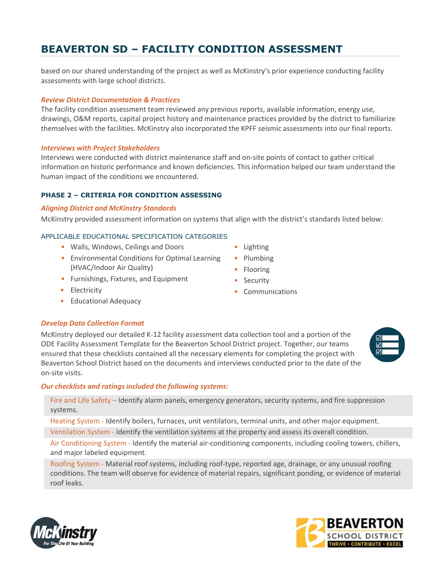based on our shared understanding of the project as well as McKinstry's prior experience conducting facility assessments with large school districts.

#### *Review District Documentation & Practices*

The facility condition assessment team reviewed any previous reports, available information, energy use, drawings, O&M reports, capital project history and maintenance practices provided by the district to familiarize themselves with the facilities. McKinstry also incorporated the KPFF seismic assessments into our final reports.

#### *Interviews with Project Stakeholders*

Interviews were conducted with district maintenance staff and on-site points of contact to gather critical information on historic performance and known deficiencies. This information helped our team understand the human impact of the conditions we encountered.

#### **PHASE 2 – CRITERIA FOR CONDITION ASSESSING**

#### *Aligning District and McKinstry Standards*

McKinstry provided assessment information on systems that align with the district's standards listed below:

#### APPLICABLE EDUCATIONAL SPECIFICATION CATEGORIES

- Walls, Windows, Ceilings and Doors
- Environmental Conditions for Optimal Learning (HVAC/Indoor Air Quality)
- Furnishings, Fixtures, and Equipment
- Electricity
- Educational Adequacy

#### *Develop Data Collection Format*

McKinstry deployed our detailed K-12 facility assessment data collection tool and a portion of the ODE Facility Assessment Template for the Beaverton School District project. Together, our teams ensured that these checklists contained all the necessary elements for completing the project with Beaverton School District based on the documents and interviews conducted prior to the date of the on-site visits.

#### *Our checklists and ratings included the following systems:*

Fire and Life Safety – Identify alarm panels, emergency generators, security systems, and fire suppression systems.

Heating System - Identify boilers, furnaces, unit ventilators, terminal units, and other major equipment.

Ventilation System - Identify the ventilation systems at the property and assess its overall condition.

Air Conditioning System - Identify the material air-conditioning components, including cooling towers, chillers, and major labeled equipment.

Roofing System - Material roof systems, including roof-type, reported age, drainage, or any unusual roofing conditions. The team will observe for evidence of material repairs, significant ponding, or evidence of material roof leaks.



**BEAVERTON** 

- Lighting
- Plumbing
- Flooring
- Security
- Communications



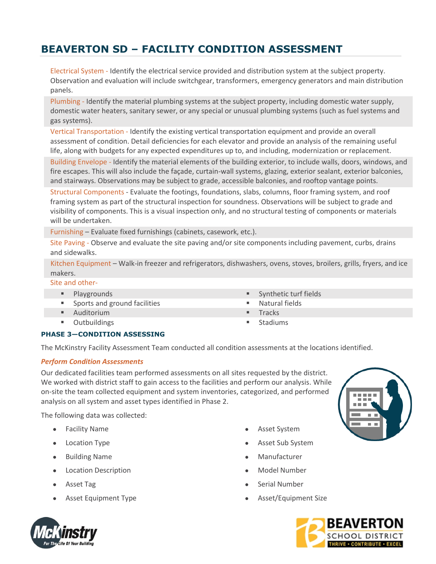Electrical System - Identify the electrical service provided and distribution system at the subject property. Observation and evaluation will include switchgear, transformers, emergency generators and main distribution panels.

Plumbing - Identify the material plumbing systems at the subject property, including domestic water supply, domestic water heaters, sanitary sewer, or any special or unusual plumbing systems (such as fuel systems and gas systems).

Vertical Transportation - Identify the existing vertical transportation equipment and provide an overall assessment of condition. Detail deficiencies for each elevator and provide an analysis of the remaining useful life, along with budgets for any expected expenditures up to, and including, modernization or replacement.

Building Envelope - Identify the material elements of the building exterior, to include walls, doors, windows, and fire escapes. This will also include the façade, curtain-wall systems, glazing, exterior sealant, exterior balconies, and stairways. Observations may be subject to grade, accessible balconies, and rooftop vantage points.

Structural Components - Evaluate the footings, foundations, slabs, columns, floor framing system, and roof framing system as part of the structural inspection for soundness. Observations will be subject to grade and visibility of components. This is a visual inspection only, and no structural testing of components or materials will be undertaken.

Furnishing – Evaluate fixed furnishings (cabinets, casework, etc.).

Site Paving - Observe and evaluate the site paving and/or site components including pavement, curbs, drains and sidewalks.

Kitchen Equipment – Walk-in freezer and refrigerators, dishwashers, ovens, stoves, broilers, grills, fryers, and ice makers.

#### Site and other-

- 
- Sports and ground facilities Natural fields
- Auditorium Tracks
- Outbuildings **■** Stadiums
- Playgrounds  **Synthetic turf fields** 
	-
	-
	-

#### **PHASE 3—CONDITION ASSESSING**

The McKinstry Facility Assessment Team conducted all condition assessments at the locations identified.

#### *Perform Condition Assessments*

Our dedicated facilities team performed assessments on all sites requested by the district. We worked with district staff to gain access to the facilities and perform our analysis. While on-site the team collected equipment and system inventories, categorized, and performed analysis on all system and asset types identified in Phase 2.

The following data was collected:

- Facility Name
- Location Type
- Building Name
- Location Description
- Asset Tag
- Asset Equipment Type
- Asset System
- Asset Sub System
- **Manufacturer**
- Model Number
- Serial Number
- Asset/Equipment Size





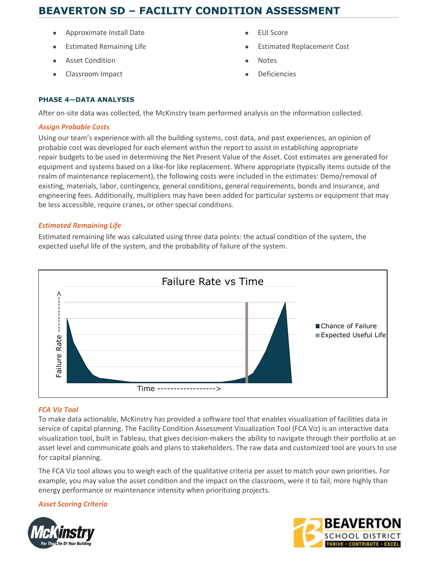- Approximate Install Date
- Estimated Remaining Life
- Asset Condition
- Classroom Impact
- EUI Score
- Estimated Replacement Cost
- Notes
- **Deficiencies**

#### **PHASE 4—DATA ANALYSIS**

After on-site data was collected, the McKinstry team performed analysis on the information collected.

#### *Assign Probable Costs*

Using our team's experience with all the building systems, cost data, and past experiences, an opinion of probable cost was developed for each element within the report to assist in establishing appropriate repair budgets to be used in determining the Net Present Value of the Asset. Cost estimates are generated for equipment and systems based on a like-for like replacement. Where appropriate (typically items outside of the realm of maintenance replacement), the following costs were included in the estimates: Demo/removal of existing, materials, labor, contingency, general conditions, general requirements, bonds and insurance, and engineering fees. Additionally, multipliers may have been added for particular systems or equipment that may be less accessible, require cranes, or other special conditions.

#### *Estimated Remaining Life*

Estimated remaining life was calculated using three data points: the actual condition of the system, the expected useful life of the system, and the probability of failure of the system.



#### *FCA Viz Tool*

To make data actionable, McKinstry has provided a software tool that enables visualization of facilities data in service of capital planning. The Facility Condition Assessment Visualization Tool (FCA Viz) is an interactive data visualization tool, built in Tableau, that gives decision-makers the ability to navigate through their portfolio at an asset level and communicate goals and plans to stakeholders. The raw data and customized tool are yours to use for capital planning.

The FCA Viz tool allows you to weigh each of the qualitative criteria per asset to match your own priorities. For example, you may value the asset condition and the impact on the classroom, were it to fail, more highly than energy performance or maintenance intensity when prioritizing projects.



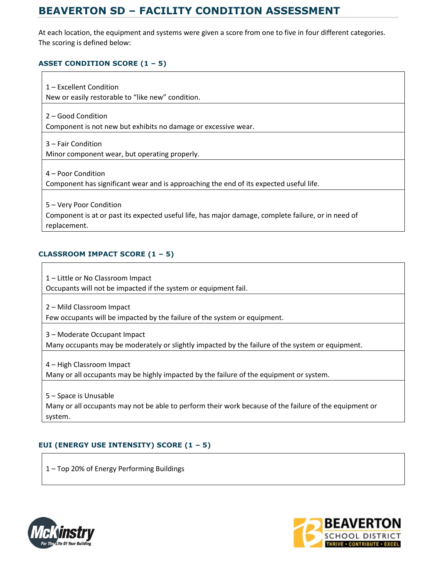At each location, the equipment and systems were given a score from one to five in four different categories. The scoring is defined below:

#### **ASSET CONDITION SCORE (1 – 5)**

1 – Excellent Condition New or easily restorable to "like new" condition. 2 – Good Condition Component is not new but exhibits no damage or excessive wear. 3 – Fair Condition Minor component wear, but operating properly. 4 – Poor Condition Component has significant wear and is approaching the end of its expected useful life. 5 – Very Poor Condition Component is at or past its expected useful life, has major damage, complete failure, or in need of replacement.

#### **CLASSROOM IMPACT SCORE (1 – 5)**

1 – Little or No Classroom Impact Occupants will not be impacted if the system or equipment fail.

2 – Mild Classroom Impact

Few occupants will be impacted by the failure of the system or equipment.

3 – Moderate Occupant Impact Many occupants may be moderately or slightly impacted by the failure of the system or equipment.

4 – High Classroom Impact Many or all occupants may be highly impacted by the failure of the equipment or system.

5 – Space is Unusable Many or all occupants may not be able to perform their work because of the failure of the equipment or system.

#### **EUI (ENERGY USE INTENSITY) SCORE (1 – 5)**

1 – Top 20% of Energy Performing Buildings



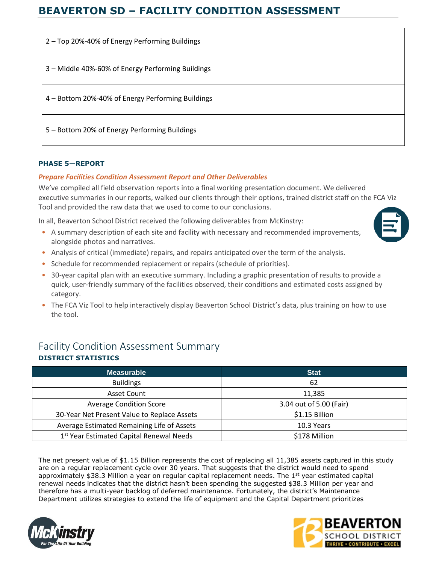| 2 - Top 20%-40% of Energy Performing Buildings    |
|---------------------------------------------------|
| 3 - Middle 40%-60% of Energy Performing Buildings |
| 4 – Bottom 20%-40% of Energy Performing Buildings |
| 5 - Bottom 20% of Energy Performing Buildings     |

#### **PHASE 5—REPORT**

#### *Prepare Facilities Condition Assessment Report and Other Deliverables*

We've compiled all field observation reports into a final working presentation document. We delivered executive summaries in our reports, walked our clients through their options, trained district staff on the FCA Viz Tool and provided the raw data that we used to come to our conclusions.

In all, Beaverton School District received the following deliverables from McKinstry:

• A summary description of each site and facility with necessary and recommended improvements, alongside photos and narratives.



- Schedule for recommended replacement or repairs (schedule of priorities).
- 30-year capital plan with an executive summary. Including a graphic presentation of results to provide a quick, user‐friendly summary of the facilities observed, their conditions and estimated costs assigned by category.
- The FCA Viz Tool to help interactively display Beaverton School District's data, plus training on how to use the tool.

## Facility Condition Assessment Summary **DISTRICT STATISTICS**

| <b>Measurable</b>                                    | <b>Stat</b>             |
|------------------------------------------------------|-------------------------|
| <b>Buildings</b>                                     | 62                      |
| Asset Count                                          | 11,385                  |
| <b>Average Condition Score</b>                       | 3.04 out of 5.00 (Fair) |
| 30-Year Net Present Value to Replace Assets          | \$1.15 Billion          |
| Average Estimated Remaining Life of Assets           | 10.3 Years              |
| 1 <sup>st</sup> Year Estimated Capital Renewal Needs | \$178 Million           |

The net present value of \$1.15 Billion represents the cost of replacing all 11,385 assets captured in this study are on a regular replacement cycle over 30 years. That suggests that the district would need to spend approximately \$38.3 Million a year on regular capital replacement needs. The 1<sup>st</sup> year estimated capital renewal needs indicates that the district hasn't been spending the suggested \$38.3 Million per year and therefore has a multi-year backlog of deferred maintenance. Fortunately, the district's Maintenance Department utilizes strategies to extend the life of equipment and the Capital Department prioritizes





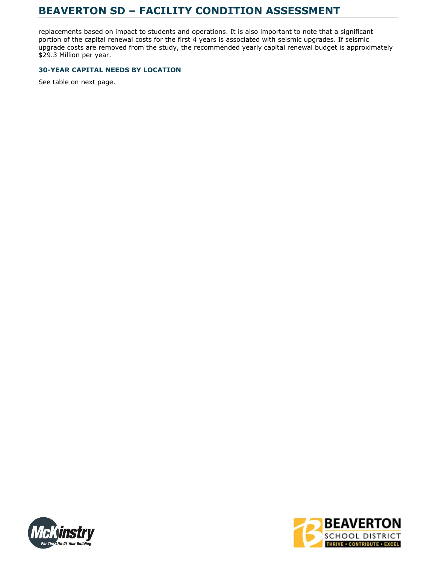replacements based on impact to students and operations. It is also important to note that a significant portion of the capital renewal costs for the first 4 years is associated with seismic upgrades. If seismic upgrade costs are removed from the study, the recommended yearly capital renewal budget is approximately \$29.3 Million per year.

#### **30-YEAR CAPITAL NEEDS BY LOCATION**

See table on next page.



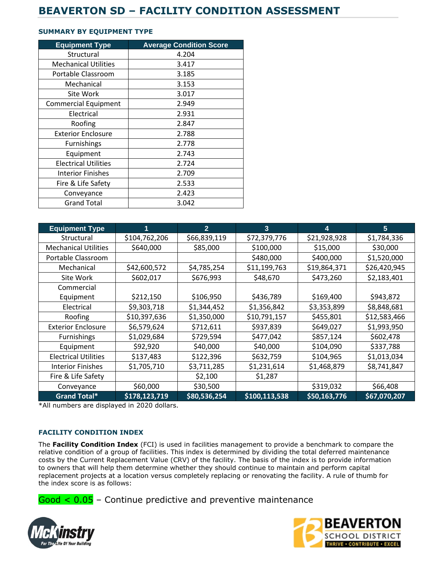#### **SUMMARY BY EQUIPMENT TYPE**

| <b>Equipment Type</b>       | <b>Average Condition Score</b> |
|-----------------------------|--------------------------------|
| Structural                  | 4.204                          |
| <b>Mechanical Utilities</b> | 3.417                          |
| Portable Classroom          | 3.185                          |
| Mechanical                  | 3.153                          |
| Site Work                   | 3.017                          |
| <b>Commercial Equipment</b> | 2.949                          |
| Electrical                  | 2.931                          |
| Roofing                     | 2.847                          |
| <b>Exterior Enclosure</b>   | 2.788                          |
| <b>Furnishings</b>          | 2.778                          |
| Equipment                   | 2.743                          |
| <b>Electrical Utilities</b> | 2.724                          |
| <b>Interior Finishes</b>    | 2.709                          |
| Fire & Life Safety          | 2.533                          |
| Conveyance                  | 2.423                          |
| <b>Grand Total</b>          | 3.042                          |

| <b>Equipment Type</b>       | 1             | $\overline{2}$ | 3             | 4            | 5            |
|-----------------------------|---------------|----------------|---------------|--------------|--------------|
| Structural                  | \$104,762,206 | \$66,839,119   | \$72,379,776  | \$21,928,928 | \$1,784,336  |
| <b>Mechanical Utilities</b> | \$640,000     | \$85,000       | \$100,000     | \$15,000     | \$30,000     |
| Portable Classroom          |               |                | \$480,000     | \$400,000    | \$1,520,000  |
| Mechanical                  | \$42,600,572  | \$4,785,254    | \$11,199,763  | \$19,864,371 | \$26,420,945 |
| Site Work                   | \$602,017     | \$676,993      | \$48,670      | \$473,260    | \$2,183,401  |
| Commercial                  |               |                |               |              |              |
| Equipment                   | \$212,150     | \$106,950      | \$436,789     | \$169,400    | \$943,872    |
| Electrical                  | \$9,303,718   | \$1,344,452    | \$1,356,842   | \$3,353,899  | \$8,848,681  |
| Roofing                     | \$10,397,636  | \$1,350,000    | \$10,791,157  | \$455,801    | \$12,583,466 |
| <b>Exterior Enclosure</b>   | \$6,579,624   | \$712,611      | \$937,839     | \$649,027    | \$1,993,950  |
| <b>Furnishings</b>          | \$1,029,684   | \$729,594      | \$477,042     | \$857,124    | \$602,478    |
| Equipment                   | \$92,920      | \$40,000       | \$40,000      | \$104,090    | \$337,788    |
| <b>Electrical Utilities</b> | \$137,483     | \$122,396      | \$632,759     | \$104,965    | \$1,013,034  |
| <b>Interior Finishes</b>    | \$1,705,710   | \$3,711,285    | \$1,231,614   | \$1,468,879  | \$8,741,847  |
| Fire & Life Safety          |               | \$2,100        | \$1,287       |              |              |
| Conveyance                  | \$60,000      | \$30,500       |               | \$319,032    | \$66,408     |
| <b>Grand Total*</b>         | \$178,123,719 | \$80,536,254   | \$100,113,538 | \$50,163,776 | \$67,070,207 |

\*All numbers are displayed in 2020 dollars.

#### **FACILITY CONDITION INDEX**

The **Facility Condition Index** (FCI) is used in facilities management to provide a benchmark to compare the relative condition of a group of facilities. This index is determined by dividing the total deferred maintenance costs by the Current Replacement Value (CRV) of the facility. The basis of the index is to provide information to owners that will help them determine whether they should continue to maintain and perform capital replacement projects at a location versus completely replacing or renovating the facility. A rule of thumb for the index score is as follows:

 $Good < 0.05$  – Continue predictive and preventive maintenance



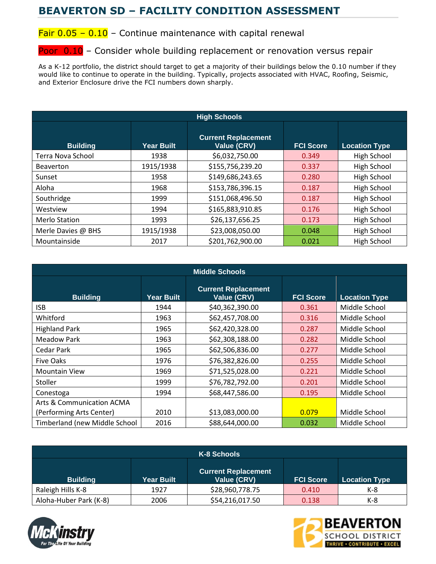## Fair  $0.05 - 0.10$  – Continue maintenance with capital renewal

### Poor 0.10 - Consider whole building replacement or renovation versus repair

As a K-12 portfolio, the district should target to get a majority of their buildings below the 0.10 number if they would like to continue to operate in the building. Typically, projects associated with HVAC, Roofing, Seismic, and Exterior Enclosure drive the FCI numbers down sharply.

| <b>High Schools</b>  |                   |                                           |                  |                      |
|----------------------|-------------------|-------------------------------------------|------------------|----------------------|
| <b>Building</b>      | <b>Year Built</b> | <b>Current Replacement</b><br>Value (CRV) | <b>FCI Score</b> | <b>Location Type</b> |
| Terra Nova School    | 1938              | \$6,032,750.00                            | 0.349            | High School          |
| <b>Beaverton</b>     | 1915/1938         | \$155,756,239.20                          | 0.337            | High School          |
| Sunset               | 1958              | \$149,686,243.65                          | 0.280            | High School          |
| Aloha                | 1968              | \$153,786,396.15                          | 0.187            | High School          |
| Southridge           | 1999              | \$151,068,496.50                          | 0.187            | High School          |
| Westview             | 1994              | \$165,883,910.85                          | 0.176            | High School          |
| <b>Merlo Station</b> | 1993              | \$26,137,656.25                           | 0.173            | High School          |
| Merle Davies @ BHS   | 1915/1938         | \$23,008,050.00                           | 0.048            | High School          |
| Mountainside         | 2017              | \$201,762,900.00                          | 0.021            | High School          |

| <b>Middle Schools</b>         |                   |                                                  |                  |                      |  |
|-------------------------------|-------------------|--------------------------------------------------|------------------|----------------------|--|
| <b>Building</b>               | <b>Year Built</b> | <b>Current Replacement</b><br><b>Value (CRV)</b> | <b>FCI Score</b> | <b>Location Type</b> |  |
| <b>ISB</b>                    | 1944              | \$40,362,390.00                                  | 0.361            | Middle School        |  |
| Whitford                      | 1963              | \$62,457,708.00                                  | 0.316            | Middle School        |  |
| <b>Highland Park</b>          | 1965              | \$62,420,328.00                                  | 0.287            | Middle School        |  |
| <b>Meadow Park</b>            | 1963              | \$62,308,188.00                                  | 0.282            | Middle School        |  |
| Cedar Park                    | 1965              | \$62,506,836.00                                  | 0.277            | Middle School        |  |
| Five Oaks                     | 1976              | \$76,382,826.00                                  | 0.255            | Middle School        |  |
| <b>Mountain View</b>          | 1969              | \$71,525,028.00                                  | 0.221            | Middle School        |  |
| Stoller                       | 1999              | \$76,782,792.00                                  | 0.201            | Middle School        |  |
| Conestoga                     | 1994              | \$68,447,586.00                                  | 0.195            | Middle School        |  |
| Arts & Communication ACMA     |                   |                                                  |                  |                      |  |
| (Performing Arts Center)      | 2010              | \$13,083,000.00                                  | 0.079            | Middle School        |  |
| Timberland (new Middle School | 2016              | \$88,644,000.00                                  | 0.032            | Middle School        |  |

| K-8 Schools            |                   |                                           |                  |                      |
|------------------------|-------------------|-------------------------------------------|------------------|----------------------|
| <b>Building</b>        | <b>Year Built</b> | <b>Current Replacement</b><br>Value (CRV) | <b>FCI Score</b> | <b>Location Type</b> |
| Raleigh Hills K-8      | 1927              | \$28,960,778.75                           | 0.410            | K-8                  |
| Aloha-Huber Park (K-8) | 2006              | \$54,216,017.50                           | 0.138            | K-8                  |



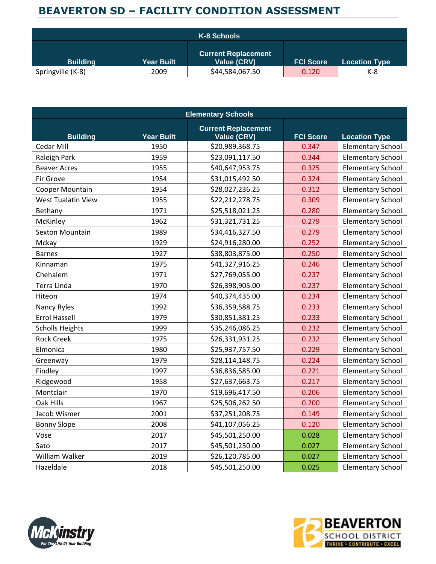|                   |                   | K-8 Schools                               |                  |                      |
|-------------------|-------------------|-------------------------------------------|------------------|----------------------|
| <b>Building</b>   | <b>Year Built</b> | <b>Current Replacement</b><br>Value (CRV) | <b>FCI Score</b> | <b>Location Type</b> |
| Springville (K-8) | 2009              | \$44,584,067.50                           | 0.120            | K-8                  |

| <b>Elementary Schools</b> |                   |                                                  |                  |                          |  |
|---------------------------|-------------------|--------------------------------------------------|------------------|--------------------------|--|
| <b>Building</b>           | <b>Year Built</b> | <b>Current Replacement</b><br><b>Value (CRV)</b> | <b>FCI Score</b> | <b>Location Type</b>     |  |
| Cedar Mill                | 1950              | \$20,989,368.75                                  | 0.347            | <b>Elementary School</b> |  |
| Raleigh Park              | 1959              | \$23,091,117.50                                  | 0.344            | <b>Elementary School</b> |  |
| <b>Beaver Acres</b>       | 1955              | \$40,647,953.75                                  | 0.325            | <b>Elementary School</b> |  |
| Fir Grove                 | 1954              | \$31,015,492.50                                  | 0.324            | <b>Elementary School</b> |  |
| Cooper Mountain           | 1954              | \$28,027,236.25                                  | 0.312            | <b>Elementary School</b> |  |
| <b>West Tualatin View</b> | 1955              | \$22,212,278.75                                  | 0.309            | <b>Elementary School</b> |  |
| Bethany                   | 1971              | \$25,518,021.25                                  | 0.280            | <b>Elementary School</b> |  |
| McKinley                  | 1962              | \$31,321,731.25                                  | 0.279            | <b>Elementary School</b> |  |
| <b>Sexton Mountain</b>    | 1989              | \$34,416,327.50                                  | 0.279            | <b>Elementary School</b> |  |
| Mckay                     | 1929              | \$24,916,280.00                                  | 0.252            | <b>Elementary School</b> |  |
| <b>Barnes</b>             | 1927              | \$38,803,875.00                                  | 0.250            | <b>Elementary School</b> |  |
| Kinnaman                  | 1975              | \$41,327,916.25                                  | 0.246            | <b>Elementary School</b> |  |
| Chehalem                  | 1971              | \$27,769,055.00                                  | 0.237            | <b>Elementary School</b> |  |
| Terra Linda               | 1970              | \$26,398,905.00                                  | 0.237            | <b>Elementary School</b> |  |
| Hiteon                    | 1974              | \$40,374,435.00                                  | 0.234            | <b>Elementary School</b> |  |
| Nancy Ryles               | 1992              | \$36,359,588.75                                  | 0.233            | <b>Elementary School</b> |  |
| <b>Errol Hassell</b>      | 1979              | \$30,851,381.25                                  | 0.233            | <b>Elementary School</b> |  |
| <b>Scholls Heights</b>    | 1999              | \$35,246,086.25                                  | 0.232            | <b>Elementary School</b> |  |
| <b>Rock Creek</b>         | 1975              | \$26,331,931.25                                  | 0.232            | <b>Elementary School</b> |  |
| Elmonica                  | 1980              | \$25,937,757.50                                  | 0.229            | <b>Elementary School</b> |  |
| Greenway                  | 1979              | \$28,114,148.75                                  | 0.224            | <b>Elementary School</b> |  |
| Findley                   | 1997              | \$36,836,585.00                                  | 0.221            | <b>Elementary School</b> |  |
| Ridgewood                 | 1958              | \$27,637,663.75                                  | 0.217            | <b>Elementary School</b> |  |
| Montclair                 | 1970              | \$19,696,417.50                                  | 0.206            | <b>Elementary School</b> |  |
| Oak Hills                 | 1967              | \$25,506,262.50                                  | 0.200            | <b>Elementary School</b> |  |
| Jacob Wismer              | 2001              | \$37,251,208.75                                  | 0.149            | <b>Elementary School</b> |  |
| <b>Bonny Slope</b>        | 2008              | \$41,107,056.25                                  | 0.120            | <b>Elementary School</b> |  |
| Vose                      | 2017              | \$45,501,250.00                                  | 0.028            | <b>Elementary School</b> |  |
| Sato                      | 2017              | \$45,501,250.00                                  | 0.027            | <b>Elementary School</b> |  |
| William Walker            | 2019              | \$26,120,785.00                                  | 0.027            | <b>Elementary School</b> |  |
| Hazeldale                 | 2018              | \$45,501,250.00                                  | 0.025            | <b>Elementary School</b> |  |